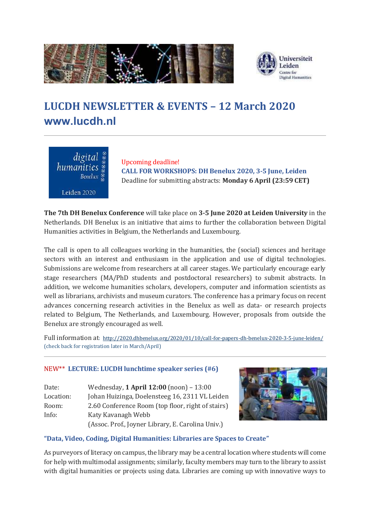

# **LUCDH NEWSLETTER & EVENTS – 12 March 2020 [www.lucdh.nl](http://www.lucdh.nl/)**



Upcoming deadline! **CALL FOR WORKSHOPS: DH Benelux 2020, 3-5 June, Leiden** Deadline for submitting abstracts: **Monday 6 April (23:59 CET)**

**The 7th DH Benelux Conference** will take place on **3-5 June 2020 at Leiden University** in the Netherlands. DH Benelux is an initiative that aims to further the collaboration between Digital Humanities activities in Belgium, the Netherlands and Luxembourg.

The call is open to all colleagues working in the humanities, the (social) sciences and heritage sectors with an interest and enthusiasm in the application and use of digital technologies. Submissions are welcome from researchers at all career stages. We particularly encourage early stage researchers (MA/PhD students and postdoctoral researchers) to submit abstracts. In addition, we welcome humanities scholars, developers, computer and information scientists as well as librarians, archivists and museum curators. The conference has a primary focus on recent advances concerning research activities in the Benelux as well as data- or research projects related to Belgium, The Netherlands, and Luxembourg. However, proposals from outside the Benelux are strongly encouraged as well.

Full information at: <http://2020.dhbenelux.org/2020/01/10/call-for-papers-dh-benelux-2020-3-5-june-leiden/> (check back for registration later in March/April)

## NEW\*\* **LECTURE: LUCDH lunchtime speaker series (#6)**

| Date:     | Wednesday, 1 April 12:00 (noon) - 13:00           |
|-----------|---------------------------------------------------|
| Location: | Johan Huizinga, Doelensteeg 16, 2311 VL Leiden    |
| Room:     | 2.60 Conference Room (top floor, right of stairs) |
| Info:     | Katy Kavanagh Webb                                |
|           | (Assoc. Prof., Joyner Library, E. Carolina Univ.) |



## **"Data, Video, Coding, Digital Humanities: Libraries are Spaces to Create"**

As purveyors of literacy on campus, the library may be a central location where students will come for help with multimodal assignments; similarly, faculty members may turn to the library to assist with digital humanities or projects using data. Libraries are coming up with innovative ways to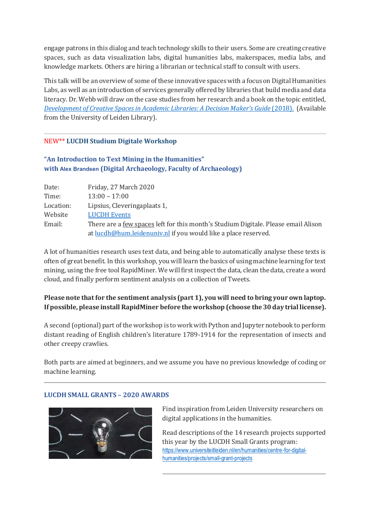engage patrons in this dialog and teach technology skills to their users. Some are creating creative spaces, such as data visualization labs, digital humanities labs, makerspaces, media labs, and knowledge markets. Others are hiring a librarian or technical staff to consult with users.

This talk will be an overview of some of these innovative spaces with a focus on Digital Humanities Labs, as well as an introduction of services generally offered by libraries that build media and data literacy. Dr. Webb will draw on the case studies from her research and a book on the topic entitled, *[Development of Creative Spaces in Academic Libraries: A Decision Maker's Guide](https://catalogue.leidenuniv.nl/primo-explore/fulldisplay?docid=TN_pq_ebook_centralEBC5313191&vid=UBL_V1&lang=en_US&context=PC) (2018). (Available* from the University of Leiden Library).

## NEW\*\* **LUCDH Studium Digitale Workshop**

| "An Introduction to Text Mining in the Humanities"               |
|------------------------------------------------------------------|
| with Alex Brandsen (Digital Archaeology, Faculty of Archaeology) |

| Date:     | Friday, 27 March 2020                                                              |
|-----------|------------------------------------------------------------------------------------|
| Time:     | $13:00 - 17:00$                                                                    |
| Location: | Lipsius, Cleveringaplaats 1,                                                       |
| Website   | <b>LUCDH</b> Events                                                                |
| Email:    | There are a few spaces left for this month's Studium Digitale. Please email Alison |
|           | at <u>lucdh@hum.leidenuniv.nl</u> if you would like a place reserved.              |

A lot of humanities research uses text data, and being able to automatically analyse these texts is often of great benefit. In this workshop, you will learn the basics of using machine learning for text mining, using the free tool RapidMiner. We will first inspect the data, clean the data, create a word cloud, and finally perform sentiment analysis on a collection of Tweets.

# **Please note that for the sentiment analysis (part 1), you will need to bring your own laptop. If possible, please instal[l RapidMiner](https://my.rapidminer.com/nexus/account/index.html#downloads) before the workshop (choose the 30 day trial license).**

A second (optional) part of the workshop is to work with Python and Jupyter notebook to perform distant reading of English children's literature 1789-1914 for the representation of insects and other creepy crawlies.

Both parts are aimed at beginners, and we assume you have no previous knowledge of coding or machine learning.

## **LUCDH SMALL GRANTS – 2020 AWARDS**



Find inspiration from Leiden University researchers on digital applications in the humanities.

Read descriptions of the 14 research projects supported this year by the LUCDH Small Grants program: [https://www.universiteitleiden.nl/en/humanities/centre-for-digital](https://www.universiteitleiden.nl/en/humanities/centre-for-digital-humanities/projects/small-grant-projects)[humanities/projects/small-grant-projects](https://www.universiteitleiden.nl/en/humanities/centre-for-digital-humanities/projects/small-grant-projects)